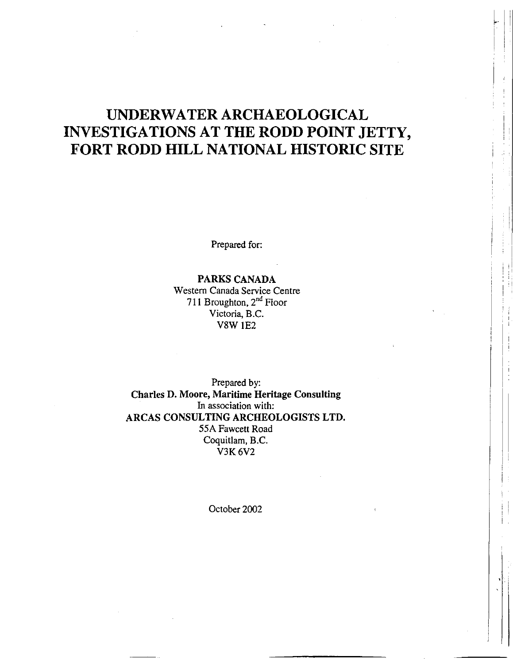# **UNDERWATER ARCHAEOLOGICAL INVESTIGATIONS AT THE RODD POINT JETTY, FORT RODD HILL NATIONAL HISTORIC SITE**

I ! : ! :

I ' i

I ! :

 $\cdot$  ' . '

' ' I ; !

Prepared for:

PARKS CANADA Western Canada Service Centre 711 Broughton, 2<sup>nd</sup> Floor Victoria, B.C. VSW 1E2

Prepared by: Charles D. Moore, Maritime Heritage Consulting In association with: ARCAS CONSULTING ARCHEOLOGISTS LTD. 55A Fawcett Road Coquitlam, B.C. V3K6V2

October 2002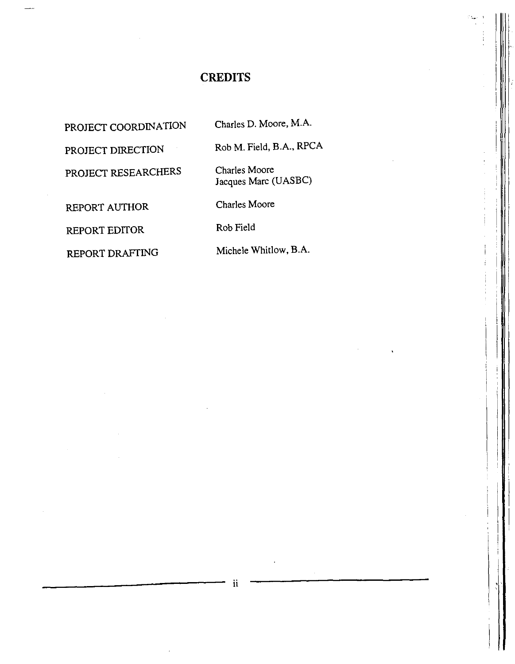# **CREDITS**

PROJECT COORDINATION Charles D. Moore, M.A.

PROJECT DIRECTION Rob M. Field, B.A., RPCA

PROJECT RESEARCHERS Charles Moore

Jacques Marc (UASBC)

REPORT AUTHOR Charles Moore

REPORT EDITOR Rob Field

REPORT DRAFTING Michele Whitlow, B.A.

I , I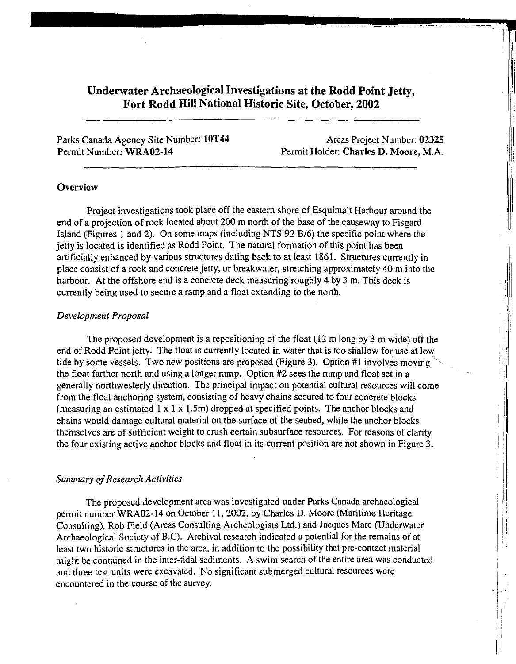### **Underwater Archaeological Investigations at the Rodd Point Jetty, Fort Rodd Hill National Historic Site, October, 2002**

Parks Canada Agency Site Number: **10T44**  Permit Number: **WRA02-14** 

Areas Project Number: **02325**  Permit Holder: **Charles D. Moore,** M.A.

I I

IU.

! !

#### **Overview**

Project investigations took place off the eastern shore of Esquimalt Harbour around the end of a projection of rock located about 200 m north of the base of the causeway to Fisgard Island (Figures 1 and 2). On some maps (including NTS 92 B/6) the specific point where the jetty is located is identified as Rodd Point. The natural formation of this point has been artificially enhanced by various structures dating back to at least 1861. Structures currently in place consist of a rock and concrete jetty, or breakwater, stretching approximately 40 m into the harbour. At the offshore end is a concrete deck measuring roughly 4 by 3 m. This deck is currently being used to secure a ramp and a float extending to the north.

#### *Development Proposal*

The proposed development is a repositioning of the float (12 m long by 3 m wide) off the end of Rodd Point jetty. The float is currently located in water that is too shallow for use at low tide by some vessels. Two new positions are proposed (Figure 3). Option #I involves moving the float farther north and using a longer ramp. Option #2 sees the ramp and float set in a generally northwesterly direction. The principal impact on potential cultural resources will come from the float anchoring system, consisting of heavy chains secured to four concrete blocks (measuring an estimated I x I x I.Sm) dropped at specified points. The anchor blocks and chains would damage cultural material on the surface of the seabed, while the anchor blocks themselves are of sufficient weight to crush certain subsurface resources. For reasons of clarity the four existing active anchor blocks and float in its current position are not shown in Figure 3.

#### *Summary of Research Activities*

The proposed development area was investigated under Parks Canada archaeological permit number WRA02-14 on October 11, 2002, by Charles D. Moore (Maritime Heritage Consulting), Rob Field (Areas Consulting Archeologists Ltd.) and Jacques Marc (Underwater Archaeological Society of B.C). Archival research indicated a potential for the remains of at least two historic structures in the area, in addition to the possibility that pre-contact material might be contained in the inter-tidal sediments. A swim search of the entire area was conducted and three test units were excavated. No significant submerged cultural resources were encountered in the course of the survey.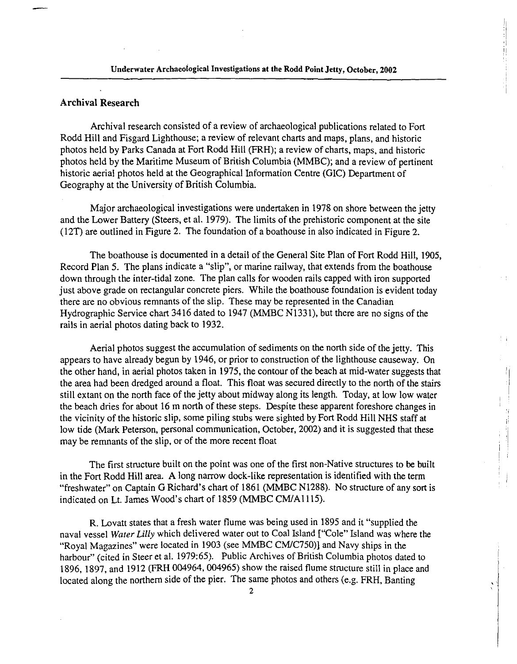### Archival Research

Archival research consisted of a review of archaeological publications related to Fort Rodd Hill and Fisgard Lighthouse; a review of relevant charts and maps, plans, and historic photos held by Parks Canada at Fort Rodd Hill (FRH); a review of charts, maps, and historic photos held by the Maritime Museum of British Columbia (MMBC); and a review of pertinent historic aerial photos held at the Geographical Information Centre (GIC) Department of Geography at the University of British Columbia.

Major archaeological investigations were undertaken in 1978 on shore between the jetty and the Lower Battery (Steers, et al. 1979). The limits of the prehistoric component at the site (l 2T) are outlined in Figure 2. The foundation of a boathouse in also indicated in Figure 2.

The boathouse is documented in a detail of the General Site Plan of Fort Rodd Hill, 1905, Record Plan 5. The plans indicate a "slip'', or marine railway, that extends from the boathouse down through the inter-tidal zone. The plan calls for wooden rails capped with iron supported just above grade on rectangular concrete piers. While the boathouse foundation is evident today there are no obvious remnants of the slip. These may be represented in the Canadian Hydrographic Service chart 3416 dated to 1947 (MMBC N1331), but there are no signs of the rails in aerial photos dating back to 1932.

Aerial photos suggest the accumulation of sediments on the north side of the jetty. This appears to have already begun by 1946, or prior to construction of the lighthouse causeway. On the other hand, in aerial photos taken in 1975, the contour of the beach at mid-water suggests that the area had been dredged around a float. This float was secured directly to the north of the stairs still extant on the north face of the jetty about midway along its length. Today, at low low water the beach dries for about 16 m north of these steps. Despite these apparent foreshore changes in the vicinity of the historic slip, some piling stubs were sighted by Fort Rodd Hill NHS staff at low tide (Mark Peterson, personal communication, October, 2002) and it is suggested that these may be remnants of the slip, or of the more recent float

The first structure built on the point was one of the first non-Native structures to be built in the Fort Rodd Hill area. A long narrow dock-like representation is identified with the term "freshwater" on Captain G Richard's chart of 1861 (MMBC N1288). No structure of any sort is indicated on Lt. James Wood's chart of 1859 (MMBC CM/Al 115).

R. Lovatt states that a fresh water flume was being used in 1895 and it "supplied the naval vessel *Water Lilly* which delivered water out to Coal Island ["Cole" Island was where the "Royal Magazines" were located in 1903 (see MMBC CM/C750)] and Navy ships in the harbour" (cited in Steer et al. 1979:65). Public Archives of British Columbia photos dated to 1896, 1897, and 1912 (FRH 004964, 004965) show the raised flume structure still in place and located along the northern side of the pier. The same photos and others (e.g. FRH, Banting

'.

ij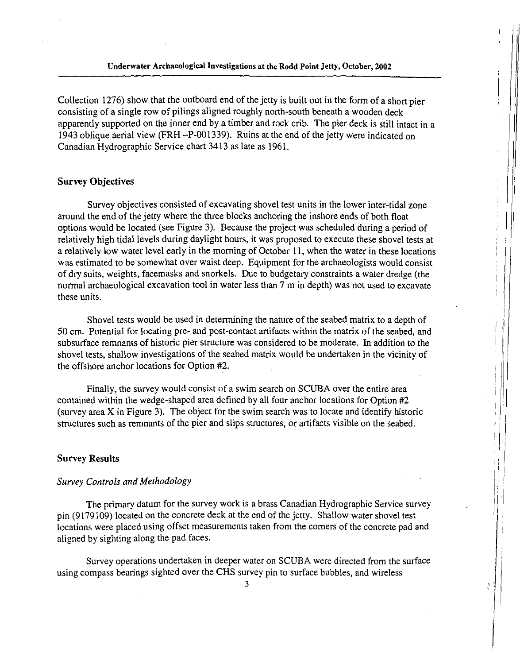Collection 1276) show that the outboard end of the jetty is built out in the form of a short pier consisting of a single row of pilings aligned roughly north-south beneath a wooden deck apparently supported on the inner end by a timber and rock crib. The pier deck is still intact in a 1943 oblique aerial view (FRH -P-001339). Ruins at the end of the jetty were indicated on Canadian Hydrographic Service chart 3413 as late as 1961.

#### Survey Objectives

Survey objectives consisted of excavating shovel test units in the lower inter-tidal zone around the end of the jetty where the three blocks anchoring the inshore ends of both float options would be located (see Figure 3). Because the project was scheduled during a period of relatively high tidal levels during daylight hours, it was proposed to execute these shovel tests at a relatively low water level early in the morning of October 11, when the water in these locations was estimated to be somewhat over waist deep. Equipment for the archaeologists would consist of dry suits, weights, facemasks and snorkels. Due to budgetary constraints a water dredge (the normal archaeological excavation tool in water less than 7 m in depth) was not used to excavate these units.

Shovel tests would be used in determining the nature of the seabed matrix to a depth of 50 cm. Potential for locating pre- and post-contact artifacts within the matrix of the seabed, and subsurface remnants of historic pier structure was considered to be moderate. In addition to the shovel tests, shallow investigations of the seabed matrix would be undertaken in the vicinity of the offshore anchor locations for Option #2.

Finally, the survey would consist of a swim search on SCUBA over the entire area contained within the wedge-shaped area defined by all four anchor locations for Option #2 (survey area X in Figure 3). The object for the swim search was to locate and identify historic structures such as remnants of the pier and slips structures, or artifacts visible on the seabed.

#### Survey Results

### *Survey Controls and Methodology*

The primary datum for the survey work is a brass Canadian Hydrographic Service survey pin (9179109) located on the concrete deck at the end of the jetty. Shallow water shovel test locations were placed using offset measurements taken from the comers of the concrete pad and aligned by sighting along the pad faces.

Survey operations undertaken in deeper water on SCUBA were directed from the surface using compass bearings sighted over the CHS survey pin to surface bubbles, and wireless

'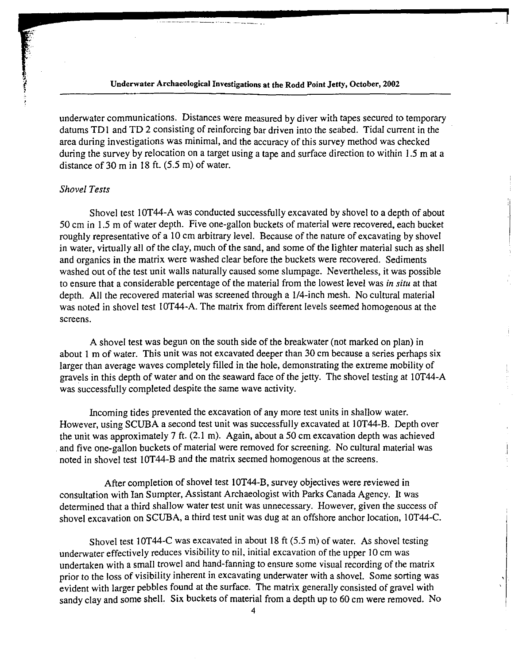#### Underwater Archaeological Investigations at the Rodd Point Jetty, October, 2002

·-··----------·- ---- ------ -

underwater communications. Distances were measured by diver with tapes secured to temporary datums TD1 and TD 2 consisting of reinforcing bar driven into the seabed. Tidal current in the area during investigations was minimal, and the accuracy of this survey method was checked during the survey by relocation on a target using a tape and surface direction to within 1.5 m at a distance of 30 m in 18 ft. (5.5 m) of water.

#### *Shovel Tests*

**REAL PROPERTY AND INTERNATIONAL PROPERTY** 

Shovel test 10T44-A was conducted successfully excavated by shovel to a depth of about 50 cm in 1.5 m of water depth. Five one-gallon buckets of material were recovered, each bucket roughly representative of a 10 cm arbitrary level. Because of the nature of excavating by shovel in water, virtually all of the clay, much of the sand, and some of the lighter material such as shell and organics in the matrix were washed clear before the buckets were recovered. Sediments washed out of the test unit walls naturally caused some slumpage. Nevertheless, it was possible to ensure that a considerable percentage of the material from the lowest level was *in situ* at that depth. All the recovered material was screened through a 1/4-inch mesh. No cultural material was noted in shovel test 10T44-A. The matrix from different levels seemed homogenous at the screens.

A shovel test was begun on the south side of the breakwater (not marked on plan) in about I m of water. This unit was not excavated deeper than 30 cm because a series perhaps six larger than average waves completely filled in the hole, demonstrating the extreme mobility of gravels in this depth of water and on the seaward face of the jetty. The shovel testing at IOT44-A was successfully completed despite the same wave activity.

Incoming tides prevented the excavation of any more test units in shallow water. However, using SCUBA a second test unit was successfully excavated at 10T44-B. Depth over the unit was approximately 7 ft. (2.1 m). Again, about a 50 cm excavation depth was achieved and five one-gallon buckets of material were removed for screening. No cultural material was noted in shovel test 10T44-B and the matrix seemed homogenous at the screens.

After completion of shovel test IOT44-B, survey objectives were reviewed in consultation with Ian Sumpter, Assistant Archaeologist with Parks Canada Agency. It was determined that a third shallow water test unit was unnecessary. However, given the success of shovel excavation on SCUBA, a third test unit was dug at an offshore anchor location, 10T44-C.

Shovel test 10T44-C was excavated in about 18 ft (5.5 m) of water. As shovel testing underwater effectively reduces visibility to nil, initial excavation of the upper 10 cm was undertaken with a small trowel and hand-fanning to ensure some visual recording of the matrix prior to the loss of visibility inherent in excavating underwater with a shovel. Some sorting was evident with larger pebbles found at the surface. The matrix generally consisted of gravel with sandy clay and some shell. Six buckets of material from a depth up to 60 cm were removed. No

'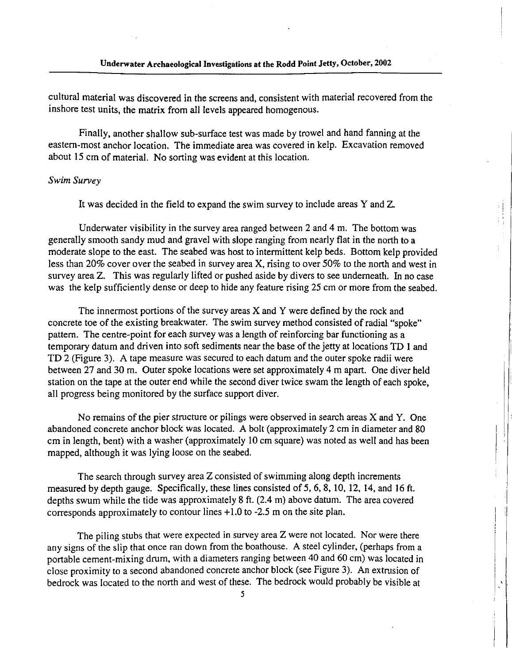cultural material was discovered in the screens and, consistent with material recovered from the inshore test units, the matrix from all levels appeared homogenous.

Finally, another shallow sub-surface test was made by trowel and hand fanning at the eastern-most anchor location. The immediate area was covered in kelp. Excavation removed about 15 cm of material. No sorting was evident at this location.

#### *Swim Survey*

It was decided in the field to expand the swim survey to include areas Y and Z.

Underwater visibility in the survey area ranged between 2 and 4 m. The bottom was generally smooth sandy mud and gravel with slope ranging from nearly flat in the north to a moderate slope to the east. The seabed was host to intermittent kelp beds. Bottom kelp provided less than 20% cover over the seabed in survey area X, rising to over 50% to the north and west in survey area Z. This was regularly lifted or pushed aside by divers to see underneath. In no case was the kelp sufficiently dense or deep to hide any feature rising 25 cm or more from the seabed.

The innermost portions of the survey areas X and Y were defined by the rock and concrete toe of the existing breakwater. The swim survey method consisted of radial "spoke" pattern. The centre-point for each survey was a length of reinforcing bar functioning as a temporary datum and driven into soft sediments near the base of the jetty at locations TD I and TD 2 (Figure 3). A tape measure was secured to each datum and the outer spoke radii were between 27 and 30 m. Outer spoke locations were set approximately 4 m apart. One diver held station on the tape at the outer end while the second diver twice swam the length of each spoke, all progress being monitored by the surface support diver.

No remains of the pier structure or pilings were observed in search areas X and Y. One abandoned concrete anchor block was located. A bolt (approximately 2 cm in diameter and 80 cm in length, bent) with a washer (approximately 10 cm square) was noted as well and has been mapped, although it was lying loose on the seabed.

The search through survey area Z consisted of swimming along depth increments measured by depth gauge. Specifically, these lines consisted of 5, 6, 8, 10, 12, 14, and 16 ft. depths swum while the tide was approximately 8 ft. (2.4 m) above datum. The area covered corresponds approximately to contour lines + 1.0 to -2.5 m on the site plan.

The piling stubs that were expected in survey area Z were not located. Nor were there any signs of the slip that once ran down from the boathouse. A steel cylinder, (perhaps from a portable cement-mixing drum, with a diameters ranging between 40 and 60 cm) was located in close proximity to a second abandoned concrete anchor block (see Figure 3). An extrusion of bedrock was located to the north and west of these. The bedrock would probably be visible at

'.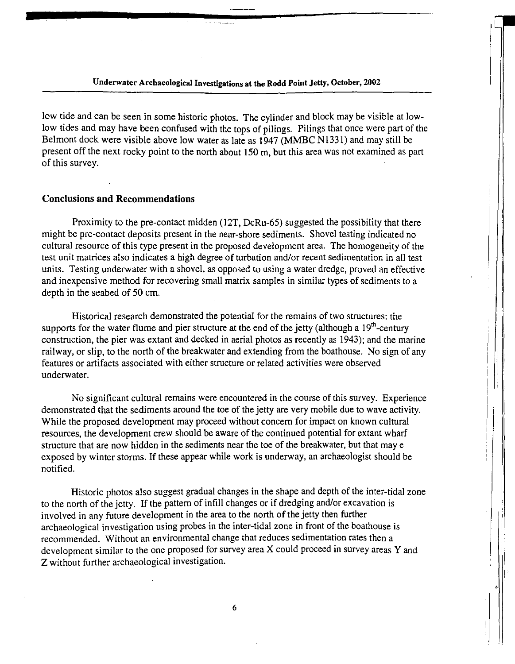Underwater Archaeological Investigations at the Rodd Point Jetty, October, 2002

low tide and can be seen in some historic photos. The cylinder and block may be visible at lowlow tides and may have been confused with the tops of pilings. Pilings that once were part of the Belmont dock were visible above low water as late as 1947 (MMBC N1331) and may still be present off the next rocky point to the north about 150 m, but this area was not examined as part of this survey.

#### Conclusions and Recommendations

Proximity to the pre-contact midden (12T, DcRu-65) suggested the possibility that there might be pre-contact deposits present in the near-shore sediments. Shovel testing indicated no cultural resource of this type present in the proposed development area. The homogeneity of the test unit matrices also indicates a high degree of turbation and/or recent sedimentation in all test units. Testing underwater with a shovel, as opposed to using a water dredge, proved an effective and inexpensive method for recovering small matrix samples in similar types of sediments to a depth in the seabed of 50 cm.

Historical research demonstrated the potential for the remains of two structures: the supports for the water flume and pier structure at the end of the jetty (although a  $19<sup>th</sup>$ -century construction, the pier was extant and decked in aerial photos as recently as 1943); and the marine railway, or slip, to the north of the breakwater and extending from the boathouse. No sign of any features or artifacts associated with either structure or related activities were observed underwater.

i 1

,,

No significant cultural remains were encountered in the course of this survey. Experience demonstrated that the sediments around the toe of the jetty are very mobile due to wave activity. While the proposed development may proceed without concern for impact on known cultural resources, the development crew should be aware of the continued potential for extant wharf structure that are now hidden in the sediments near the toe of the breakwater, but that may e exposed by winter storms. If these appear while work is underway, an archaeologist should be notified.

Historic photos also suggest gradual changes in the shape and depth of the inter-tidal zone to the north of the jetty. If the pattern of infill changes or if dredging and/or excavation is involved in any future development in the area to the north of the jetty then further archaeological investigation using probes in the inter-tidal zone in front of the boathouse is recommended. Without an environmental change that reduces sedimentation rates then a development similar to the one proposed for survey area X could proceed in survey areas Y and Z without further archaeological investigation.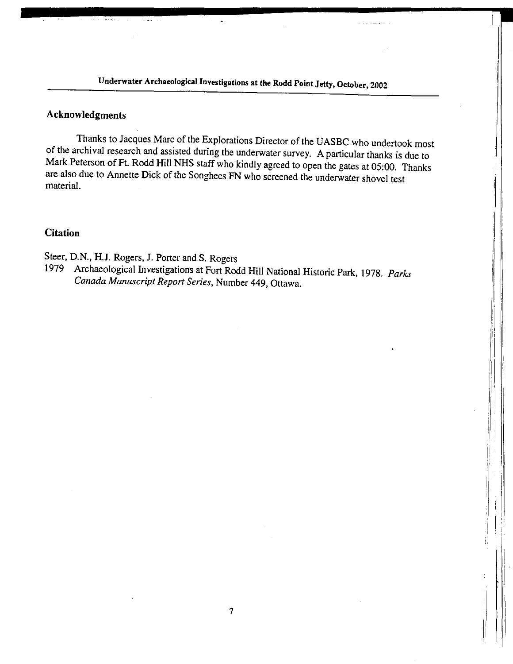**Underwater Archaeological Investigations at the Rodd Point Jetty, October, 2002** 

### **Acknowledgments**

Thanks to Jacques Marc of the Explorations Director of the UASBC who undertook most of the archival research and assisted during the underwater survey. A particular thanks is due to Mark Peterson of Ft. Rodd **Hill** NHS staff who kindly agreed to open the gates at 05:00. Thanks are also due to Annette Dick of the Songhees FN who screened the underwater shovel test material.

### **Citation**

Steer, D.N., **H.J.** Rogers, **J.** Porter and S. Rogers

1979 Archaeological Investigations at Fort Rodd **Hill** National Historic Park, 1978. *Parks Canada Manuscript Report Series,* Number 449, Ottawa.

> ļļ. I ii  $\mathbf{1}$ . I li. I '

7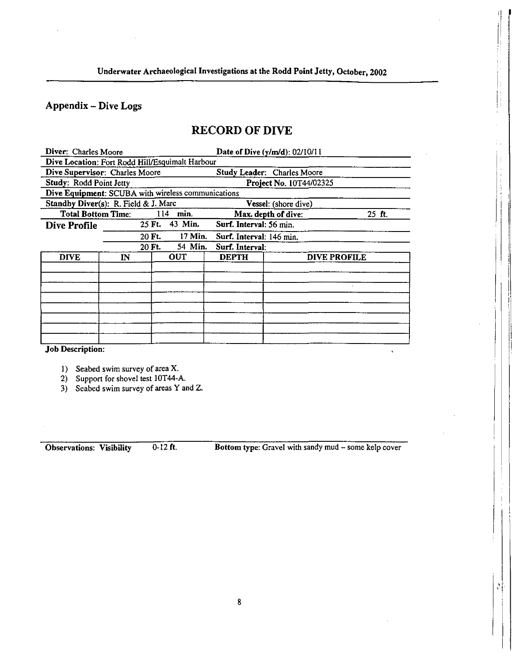## Appendix - Dive Logs

# RECORD OF DIVE

| Diver: Charles Moore                               |    |                   |                               | Date of Dive (y/m/d): 02/10/11 |  |  |  |  |  |
|----------------------------------------------------|----|-------------------|-------------------------------|--------------------------------|--|--|--|--|--|
| Dive Location: Fort Rodd Hill/Esquimalt Harbour    |    |                   |                               |                                |  |  |  |  |  |
| Dive Supervisor: Charles Moore                     |    |                   | Study Leader: Charles Moore   |                                |  |  |  |  |  |
| Study: Rodd Point Jetty                            |    |                   | Project No. 10T44/02325       |                                |  |  |  |  |  |
| Dive Equipment: SCUBA with wireless communications |    |                   |                               |                                |  |  |  |  |  |
| Standby Diver(s): R. Field & J. Marc               |    |                   | <b>Vessel:</b> (shore dive)   |                                |  |  |  |  |  |
| <b>Total Bottom Time:</b><br>114<br>min.           |    |                   | Max. depth of dive:<br>25 ft. |                                |  |  |  |  |  |
| Dive Profile                                       |    | 43 Min.<br>25 Ft. | Surf. Interval: 56 min.       |                                |  |  |  |  |  |
|                                                    |    | 17 Min.<br>20 Ft. | Surf. Interval: 146 min.      |                                |  |  |  |  |  |
| 54 Min.<br>20 Ft.                                  |    |                   | Surf. Interval:               |                                |  |  |  |  |  |
| <b>DIVE</b>                                        | IN | OUT               | <b>DEPTH</b>                  | <b>DIVE PROFILE</b>            |  |  |  |  |  |
|                                                    |    |                   |                               |                                |  |  |  |  |  |
|                                                    |    |                   |                               |                                |  |  |  |  |  |
|                                                    |    |                   |                               |                                |  |  |  |  |  |
|                                                    |    |                   |                               |                                |  |  |  |  |  |
|                                                    |    |                   |                               |                                |  |  |  |  |  |
|                                                    |    |                   |                               |                                |  |  |  |  |  |
|                                                    |    |                   |                               |                                |  |  |  |  |  |
|                                                    |    |                   |                               |                                |  |  |  |  |  |

Job Description:

I) Seabed swim survey of area X.

2) Support for shovel test 10T44-A.

3) Seabed swim survey of areas Y and Z.

Observations: Visibility 0-12 ft. Bottom type: Gravel with sandy mud - some kelp cover

''

 $\mathcal{N}$ 

l.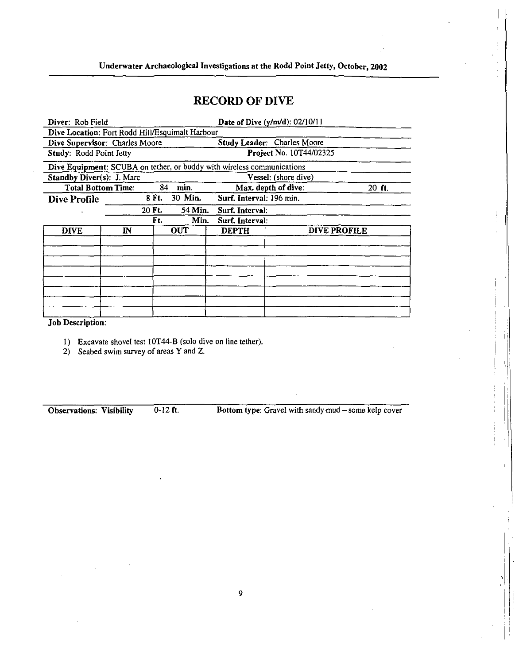### **RECORD OF DIVE**

|                                                                        | Date of Dive (y/m/d): 02/10/11 |                                                            |  |  |  |  |  |  |  |  |
|------------------------------------------------------------------------|--------------------------------|------------------------------------------------------------|--|--|--|--|--|--|--|--|
| Dive Location: Fort Rodd Hill/Esquimalt Harbour                        |                                |                                                            |  |  |  |  |  |  |  |  |
| Dive Supervisor: Charles Moore                                         | Study Leader: Charles Moore    |                                                            |  |  |  |  |  |  |  |  |
| Study: Rodd Point Jetty                                                | Project No. 10T44/02325        |                                                            |  |  |  |  |  |  |  |  |
| Dive Equipment: SCUBA on tether, or buddy with wireless communications |                                |                                                            |  |  |  |  |  |  |  |  |
| Standby Diver(s): J. Marc                                              | Vessel: (shore dive)           |                                                            |  |  |  |  |  |  |  |  |
| <b>Total Bottom Time:</b><br>84<br>min.                                |                                | 20 ft.                                                     |  |  |  |  |  |  |  |  |
| 30 Min.<br>8 Ft.                                                       |                                |                                                            |  |  |  |  |  |  |  |  |
| 20 Ft.                                                                 | Surf. Interval:                |                                                            |  |  |  |  |  |  |  |  |
| Ft.<br>Min.                                                            | Surf. Interval:                |                                                            |  |  |  |  |  |  |  |  |
| $\mathbb{R}$<br>OUT                                                    | <b>DEPTH</b>                   | DIVE PROFILE                                               |  |  |  |  |  |  |  |  |
|                                                                        |                                |                                                            |  |  |  |  |  |  |  |  |
|                                                                        |                                |                                                            |  |  |  |  |  |  |  |  |
|                                                                        |                                |                                                            |  |  |  |  |  |  |  |  |
|                                                                        |                                |                                                            |  |  |  |  |  |  |  |  |
|                                                                        |                                |                                                            |  |  |  |  |  |  |  |  |
|                                                                        |                                |                                                            |  |  |  |  |  |  |  |  |
|                                                                        |                                |                                                            |  |  |  |  |  |  |  |  |
|                                                                        |                                |                                                            |  |  |  |  |  |  |  |  |
|                                                                        |                                | Max. depth of dive:<br>Surf. Interval: 196 min.<br>54 Min. |  |  |  |  |  |  |  |  |

Job Description:

- I) Excavate shovel test IOT44-B (solo dive on line tether).
- 2) Seabed swim survey of areas Y and Z.

Observations: Visibility 0-12 ft. Bottom type: Gravel with sandy mud - some kelp cover

 $\mathbf{I} = \mathbf{I}$ 

I !!<br>! i I,

'. I' j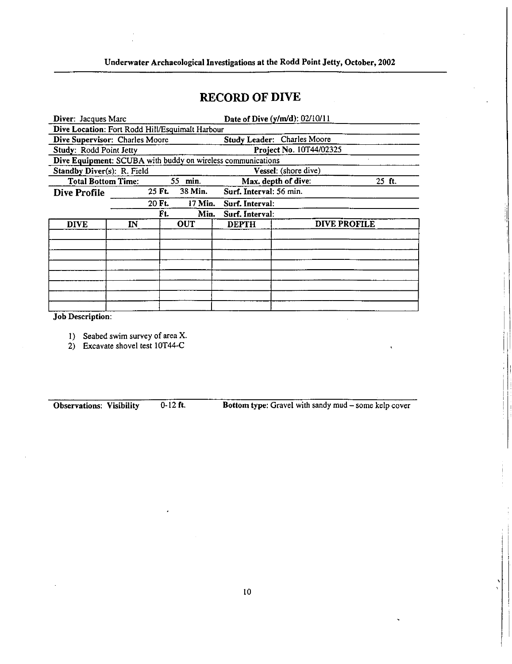# **RECORD OF DIVE**

| Diver: Jacques Marc                                         |  |         |         |                                     | Date of Dive (y/m/d): 02/10/11 |         |  |  |  |  |
|-------------------------------------------------------------|--|---------|---------|-------------------------------------|--------------------------------|---------|--|--|--|--|
| Dive Location: Fort Rodd Hill/Esquimalt Harbour             |  |         |         |                                     |                                |         |  |  |  |  |
| Dive Supervisor: Charles Moore                              |  |         |         | Study Leader: Charles Moore         |                                |         |  |  |  |  |
| Study: Rodd Point Jetty                                     |  |         |         | Project No. 10T44/02325             |                                |         |  |  |  |  |
| Dive Equipment: SCUBA with buddy on wireless communications |  |         |         |                                     |                                |         |  |  |  |  |
| Standby Diver(s): R. Field                                  |  |         |         | Vessel: (shore dive)                |                                |         |  |  |  |  |
| <b>Total Bottom Time:</b>                                   |  | 55 min. |         | Max. depth of dive:                 |                                | $25$ ft |  |  |  |  |
| <b>Dive Profile</b>                                         |  | 25 Ft.  | 38 Min. | Surf. Interval: 56 min.             |                                |         |  |  |  |  |
|                                                             |  | 20 Ft.  | 17 Min. | Surf. Interval:                     |                                |         |  |  |  |  |
|                                                             |  | Γt.     | Min.    | Surf. Interval:                     |                                |         |  |  |  |  |
| $\mathbf{IN}$<br><b>DIVE</b>                                |  | OUT     |         | <b>DIVE PROFILE</b><br><b>DEPTH</b> |                                |         |  |  |  |  |
|                                                             |  |         |         |                                     |                                |         |  |  |  |  |
|                                                             |  |         |         |                                     |                                |         |  |  |  |  |
|                                                             |  |         |         |                                     |                                |         |  |  |  |  |
|                                                             |  |         |         |                                     |                                |         |  |  |  |  |
|                                                             |  |         |         |                                     |                                |         |  |  |  |  |
|                                                             |  |         |         |                                     |                                |         |  |  |  |  |
|                                                             |  |         |         |                                     |                                |         |  |  |  |  |
|                                                             |  |         |         |                                     |                                |         |  |  |  |  |

Job Description:

1) Seabed swim survey of area X.

2) Excavate shovel test 10T44-C

Observations: Visibility 0-12 ft. Bottom type: Gravel with sandy mud - some kelp cover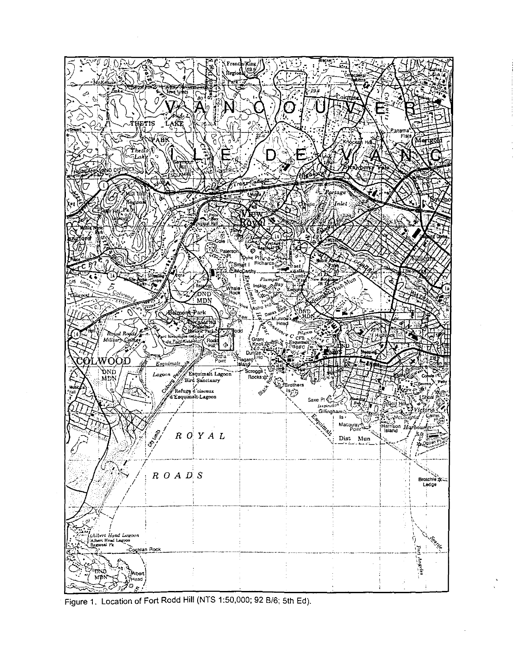

Figure 1. Location of Fort Rodd Hill (NTS 1:50,000; 92 B/6; 5th Ed).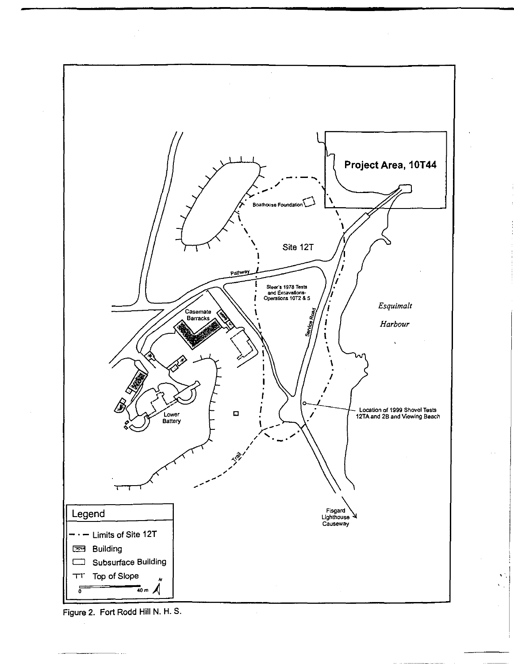

Figure 2. Fort Rodd Hill N. H. S.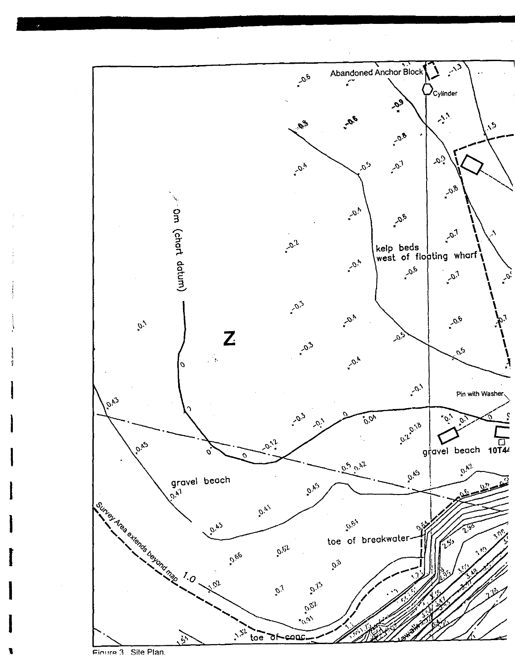

Figure 3. Site Plan.